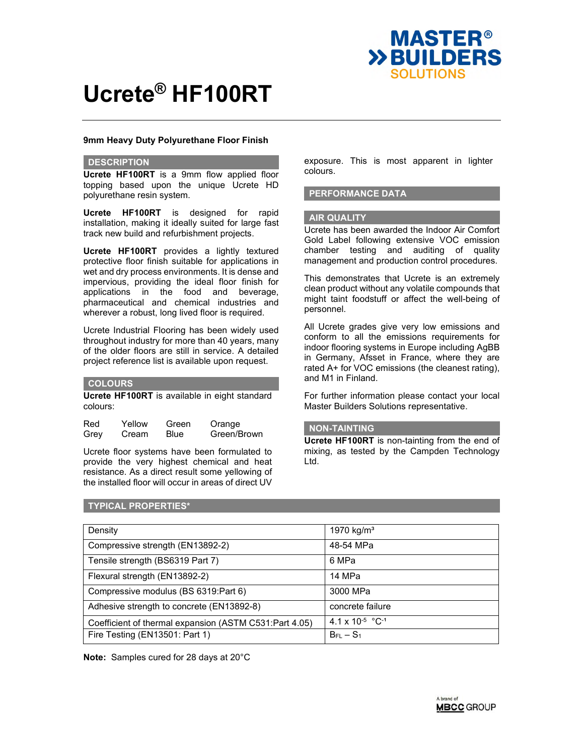

#### **9mm Heavy Duty Polyurethane Floor Finish**

# **DESCRIPTION**

**Ucrete HF100RT** is a 9mm flow applied floor topping based upon the unique Ucrete HD polyurethane resin system.

**Ucrete HF100RT** is designed for rapid installation, making it ideally suited for large fast track new build and refurbishment projects.

**Ucrete HF100RT** provides a lightly textured protective floor finish suitable for applications in wet and dry process environments. It is dense and impervious, providing the ideal floor finish for applications in the food and beverage, pharmaceutical and chemical industries and wherever a robust, long lived floor is required.

Ucrete Industrial Flooring has been widely used throughout industry for more than 40 years, many of the older floors are still in service. A detailed project reference list is available upon request.

#### **COLOURS**

**Ucrete HF100RT** is available in eight standard colours:

| Red  | Yellow | Green | Orange      |
|------|--------|-------|-------------|
| Grey | Cream  | Blue  | Green/Brown |

Ucrete floor systems have been formulated to provide the very highest chemical and heat resistance. As a direct result some yellowing of the installed floor will occur in areas of direct UV

exposure. This is most apparent in lighter colours.

#### **PERFORMANCE DATA**

#### **AIR QUALITY**

Ucrete has been awarded the Indoor Air Comfort Gold Label following extensive VOC emission chamber testing and auditing of quality management and production control procedures.

This demonstrates that Ucrete is an extremely clean product without any volatile compounds that might taint foodstuff or affect the well-being of personnel.

All Ucrete grades give very low emissions and conform to all the emissions requirements for indoor flooring systems in Europe including AgBB in Germany, Afsset in France, where they are rated A+ for VOC emissions (the cleanest rating), and M1 in Finland.

For further information please contact your local Master Builders Solutions representative.

#### **NON-TAINTING**

**Ucrete HF100RT** is non-tainting from the end of mixing, as tested by the Campden Technology Ltd.

#### **TYPICAL PROPERTIES\***

| Density                                                | 1970 kg/m <sup>3</sup>                  |
|--------------------------------------------------------|-----------------------------------------|
| Compressive strength (EN13892-2)                       | 48-54 MPa                               |
| Tensile strength (BS6319 Part 7)                       | 6 MPa                                   |
| Flexural strength (EN13892-2)                          | 14 MPa                                  |
| Compressive modulus (BS 6319:Part 6)                   | 3000 MPa                                |
| Adhesive strength to concrete (EN13892-8)              | concrete failure                        |
| Coefficient of thermal expansion (ASTM C531:Part 4.05) | 4.1 x 10 <sup>-5</sup> °C <sup>-1</sup> |
| Fire Testing (EN13501: Part 1)                         | $B_{FL} - S_1$                          |

**Note:** Samples cured for 28 days at 20°C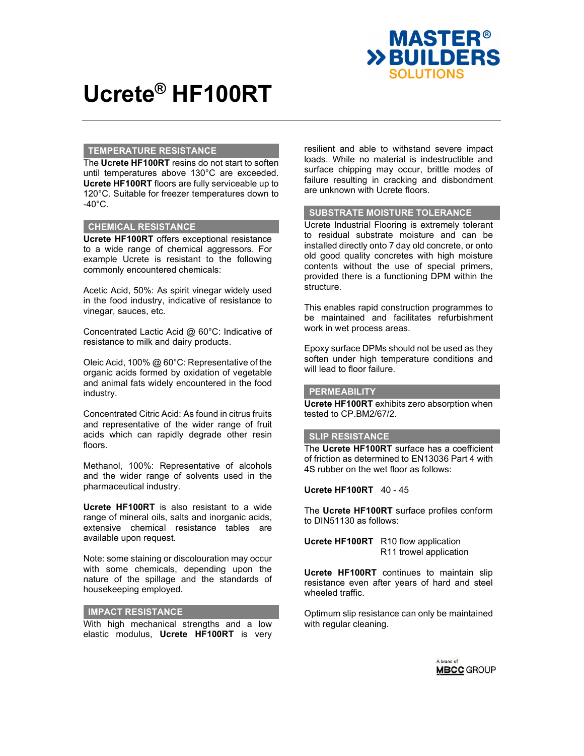

#### **TEMPERATURE RESISTANCE**

The **Ucrete HF100RT** resins do not start to soften until temperatures above 130°C are exceeded. **Ucrete HF100RT** floors are fully serviceable up to 120°C. Suitable for freezer temperatures down to  $-40^{\circ}$ C.

### **CHEMICAL RESISTANCE**

**Ucrete HF100RT** offers exceptional resistance to a wide range of chemical aggressors. For example Ucrete is resistant to the following commonly encountered chemicals:

Acetic Acid, 50%: As spirit vinegar widely used in the food industry, indicative of resistance to vinegar, sauces, etc.

Concentrated Lactic Acid @ 60°C: Indicative of resistance to milk and dairy products.

Oleic Acid, 100% @ 60°C: Representative of the organic acids formed by oxidation of vegetable and animal fats widely encountered in the food industry.

Concentrated Citric Acid: As found in citrus fruits and representative of the wider range of fruit acids which can rapidly degrade other resin floors.

Methanol, 100%: Representative of alcohols and the wider range of solvents used in the pharmaceutical industry.

**Ucrete HF100RT** is also resistant to a wide range of mineral oils, salts and inorganic acids, extensive chemical resistance tables are available upon request.

Note: some staining or discolouration may occur with some chemicals, depending upon the nature of the spillage and the standards of housekeeping employed.

### **IMPACT RESISTANCE**

With high mechanical strengths and a low elastic modulus, **Ucrete HF100RT** is very resilient and able to withstand severe impact loads. While no material is indestructible and surface chipping may occur, brittle modes of failure resulting in cracking and disbondment are unknown with Ucrete floors.

### **SUBSTRATE MOISTURE TOLERANCE**

Ucrete Industrial Flooring is extremely tolerant to residual substrate moisture and can be installed directly onto 7 day old concrete, or onto old good quality concretes with high moisture contents without the use of special primers, provided there is a functioning DPM within the structure.

This enables rapid construction programmes to be maintained and facilitates refurbishment work in wet process areas.

Epoxy surface DPMs should not be used as they soften under high temperature conditions and will lead to floor failure.

#### **PERMEABILITY**

**Ucrete HF100RT** exhibits zero absorption when tested to CP.BM2/67/2.

#### **SLIP RESISTANCE**

The **Ucrete HF100RT** surface has a coefficient of friction as determined to EN13036 Part 4 with 4S rubber on the wet floor as follows:

**Ucrete HF100RT** 40 - 45

The **Ucrete HF100RT** surface profiles conform to DIN51130 as follows:

**Ucrete HF100RT** R10 flow application R11 trowel application

**Ucrete HF100RT** continues to maintain slip resistance even after years of hard and steel wheeled traffic.

Optimum slip resistance can only be maintained with regular cleaning.

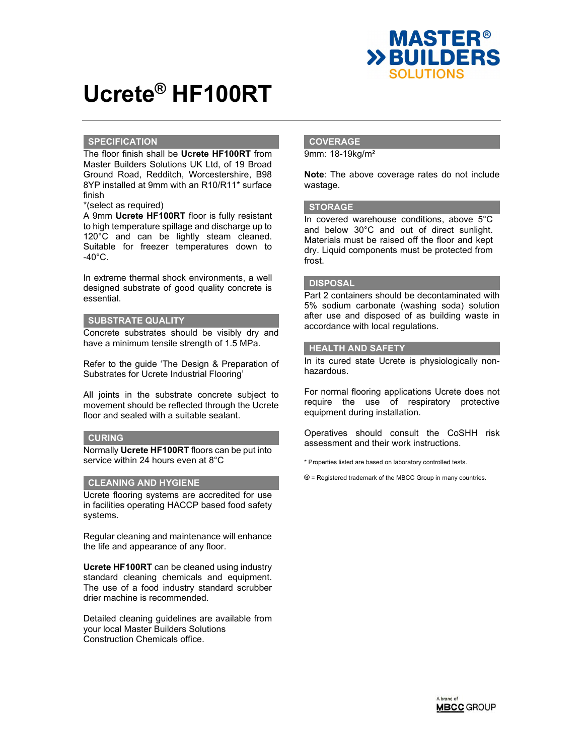

#### **SPECIFICATION**

The floor finish shall be **Ucrete HF100RT** from Master Builders Solutions UK Ltd, of 19 Broad Ground Road, Redditch, Worcestershire, B98 8YP installed at 9mm with an R10/R11\* surface finish

\*(select as required)

A 9mm **Ucrete HF100RT** floor is fully resistant to high temperature spillage and discharge up to 120°C and can be lightly steam cleaned. Suitable for freezer temperatures down to  $-40^{\circ}$ C.

In extreme thermal shock environments, a well designed substrate of good quality concrete is essential.

#### **SUBSTRATE QUALITY**

Concrete substrates should be visibly dry and have a minimum tensile strength of 1.5 MPa.

Refer to the guide 'The Design & Preparation of Substrates for Ucrete Industrial Flooring'

All joints in the substrate concrete subject to movement should be reflected through the Ucrete floor and sealed with a suitable sealant.

#### **CURING**

Normally **Ucrete HF100RT** floors can be put into service within 24 hours even at 8°C

# **CLEANING AND HYGIENE**

Ucrete flooring systems are accredited for use in facilities operating HACCP based food safety systems.

Regular cleaning and maintenance will enhance the life and appearance of any floor.

**Ucrete HF100RT** can be cleaned using industry standard cleaning chemicals and equipment. The use of a food industry standard scrubber drier machine is recommended.

Detailed cleaning guidelines are available from your local Master Builders Solutions Construction Chemicals office.

# **COVERAGE**

9mm: 18-19kg/m²

**Note**: The above coverage rates do not include wastage.

### **STORAGE**

In covered warehouse conditions, above 5°C and below 30°C and out of direct sunlight. Materials must be raised off the floor and kept dry. Liquid components must be protected from frost.

## **DISPOSAL**

Part 2 containers should be decontaminated with 5% sodium carbonate (washing soda) solution after use and disposed of as building waste in accordance with local regulations.

#### **HEALTH AND SAFETY**

In its cured state Ucrete is physiologically nonhazardous.

For normal flooring applications Ucrete does not require the use of respiratory protective equipment during installation.

Operatives should consult the CoSHH risk assessment and their work instructions.

\* Properties listed are based on laboratory controlled tests.

**®** = Registered trademark of the MBCC Group in many countries.